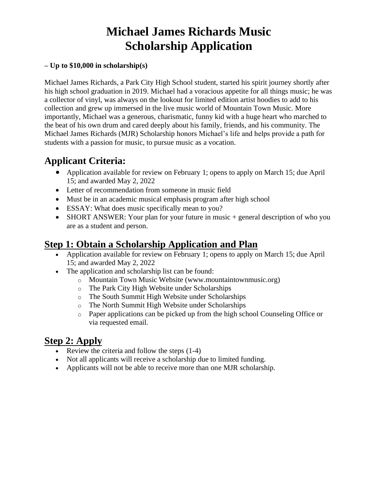# **Michael James Richards Music Scholarship Application**

### **– Up to \$10,000 in scholarship(s)**

Michael James Richards, a Park City High School student, started his spirit journey shortly after his high school graduation in 2019. Michael had a voracious appetite for all things music; he was a collector of vinyl, was always on the lookout for limited edition artist hoodies to add to his collection and grew up immersed in the live music world of Mountain Town Music. More importantly, Michael was a generous, charismatic, funny kid with a huge heart who marched to the beat of his own drum and cared deeply about his family, friends, and his community. The Michael James Richards (MJR) Scholarship honors Michael's life and helps provide a path for students with a passion for music, to pursue music as a vocation.

# **Applicant Criteria:**

- Application available for review on February 1; opens to apply on March 15; due April 15; and awarded May 2, 2022
- Letter of recommendation from someone in music field
- Must be in an academic musical emphasis program after high school
- ESSAY: What does music specifically mean to you?
- SHORT ANSWER: Your plan for your future in music + general description of who you are as a student and person.

### **Step 1: Obtain a Scholarship Application and Plan**

- Application available for review on February 1; opens to apply on March 15; due April 15; and awarded May 2, 2022
- The application and scholarship list can be found:
	- o Mountain Town Music Website (www.mountaintownmusic.org)
	- o The Park City High Website under Scholarships
	- o The South Summit High Website under Scholarships
	- o The North Summit High Website under Scholarships
	- o Paper applications can be picked up from the high school Counseling Office or via requested email.

### **Step 2: Apply**

- Review the criteria and follow the steps  $(1-4)$
- Not all applicants will receive a scholarship due to limited funding.
- Applicants will not be able to receive more than one MJR scholarship.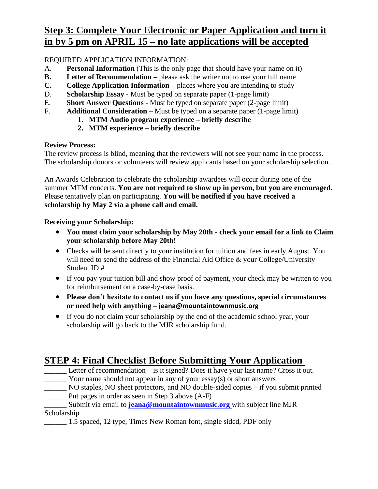# **Step 3: Complete Your Electronic or Paper Application and turn it in by 5 pm on APRIL 15 – no late applications will be accepted**

REQUIRED APPLICATION INFORMATION:

- A. **Personal Information** (This is the only page that should have your name on it)
- **B. Letter of Recommendation –** please ask the writer not to use your full name
- **C. College Application Information –** places where you are intending to study
- D. **Scholarship Essay -** Must be typed on separate paper (1-page limit)
- E. **Short Answer Questions -** Must be typed on separate paper (2-page limit)
- F. **Additional Consideration –** Must be typed on a separate paper (1-page limit)
	- **1. MTM Audio program experience – briefly describe**
	- **2. MTM experience – briefly describe**

### **Review Process:**

The review process is blind, meaning that the reviewers will not see your name in the process. The scholarship donors or volunteers will review applicants based on your scholarship selection.

An Awards Celebration to celebrate the scholarship awardees will occur during one of the summer MTM concerts. **You are not required to show up in person, but you are encouraged.**  Please tentatively plan on participating. **You will be notified if you have received a scholarship by May 2 via a phone call and email.** 

### **Receiving your Scholarship:**

- **You must claim your scholarship by May 20th - check your email for a link to Claim your scholarship before May 20th!**
- Checks will be sent directly to your institution for tuition and fees in early August. You will need to send the address of the Financial Aid Office & your College/University Student ID #
- If you pay your tuition bill and show proof of payment, your check may be written to you for reimbursement on a case-by-case basis.
- **Please don't hesitate to contact us if you have any questions, special circumstances or need help with anything – jeana@mountaintownmusic.org**
- If you do not claim your scholarship by the end of the academic school year, your scholarship will go back to the MJR scholarship fund.

# **STEP 4: Final Checklist Before Submitting Your Application**

- Letter of recommendation is it signed? Does it have your last name? Cross it out. \_\_\_\_\_\_ Your name should not appear in any of your essay(s) or short answers
- NO staples, NO sheet protectors, and NO double-sided copies if you submit printed \_\_\_\_\_\_ Put pages in order as seen in Step 3 above (A-F)

### Submit via email to **[jeana@mountaintownmusic.org](mailto:jeana@mountaintownmusic.org)** with subject line MJR Scholarship

\_\_\_\_\_\_ 1.5 spaced, 12 type, Times New Roman font, single sided, PDF only